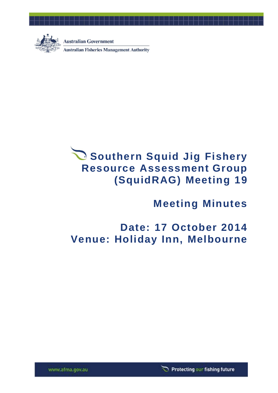

**Australian Government Australian Fisheries Management Authority** 



**Meeting Minutes**

# **Date: 17 October 2014 Venue: Holiday Inn, Melbourne**

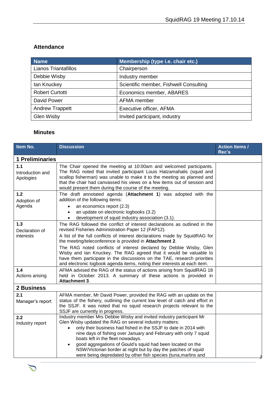## **Attendance**

| <b>Name</b>                 | Membership (type i.e. chair etc.)      |
|-----------------------------|----------------------------------------|
| <b>Lianos Triantafillos</b> | Chairperson                            |
| Debbie Wisby                | Industry member                        |
| lan Knuckey                 | Scientific member, Fishwell Consulting |
| <b>Robert Curtotti</b>      | Economics member, ABARES               |
| David Power                 | AFMA member                            |
| <b>Andrew Trappett</b>      | Executive officer, AFMA                |
| <b>Glen Wisby</b>           | Invited participant, industry          |

## **Minutes**

| Item No.                             | <b>Discussion</b>                                                                                                                                                                                                                                                                                                                                                                                                                                                                                                                      | <b>Action Items /</b><br>Rec's |  |  |
|--------------------------------------|----------------------------------------------------------------------------------------------------------------------------------------------------------------------------------------------------------------------------------------------------------------------------------------------------------------------------------------------------------------------------------------------------------------------------------------------------------------------------------------------------------------------------------------|--------------------------------|--|--|
| <b>1 Preliminaries</b>               |                                                                                                                                                                                                                                                                                                                                                                                                                                                                                                                                        |                                |  |  |
| 1.1<br>Introduction and<br>Apologies | The Chair opened the meeting at 10:00am and welcomed participants.<br>The RAG noted that invited participant Louis Hatzamahalis (squid and<br>scallop fisherman) was unable to make it to the meeting as planned and<br>that the chair had canvassed his views on a few items out of session and<br>would present them during the course of the meeting.                                                                                                                                                                               |                                |  |  |
| $1.2$<br>Adoption of<br>Agenda       | The draft annotated agenda (Attachment 1) was adopted with the<br>addition of the following items:<br>an economics report (2.3)<br>an update on electronic logbooks (3.2)<br>$\bullet$<br>development of squid industry association (3.1).<br>$\bullet$                                                                                                                                                                                                                                                                                |                                |  |  |
| 1.3<br>Declaration of<br>interests   | The RAG followed the conflict of interest declarations as outlined in the<br>revised Fisheries Administration Paper 12 (FAP12).<br>A list of the full conflicts of interest declarations made by SquidRAG for<br>the meeting/teleconference is provided in Attachment 2.<br>The RAG noted conflicts of interest declared by Debbie Wisby, Glen<br>Wisby and Ian Knuckey. The RAG agreed that it would be valuable to<br>have them participate in the discussions on the TAE, research priorities                                       |                                |  |  |
| 1.4<br>Actions arising               | and electronic logbook agenda items, noting their interests at each item.<br>AFMA advised the RAG of the status of actions arising from SquidRAG 18<br>held in October 2013. A summary of these actions is provided in<br><b>Attachment 3.</b>                                                                                                                                                                                                                                                                                         |                                |  |  |
| 2 Business                           |                                                                                                                                                                                                                                                                                                                                                                                                                                                                                                                                        |                                |  |  |
| 2.1<br>Manager's report              | AFMA member, Mr David Power, provided the RAG with an update on the<br>status of the fishery, outlining the current low level of catch and effort in<br>the SSJF. It was noted that no squid research projects relevant to the<br>SSJF are currently in progress.                                                                                                                                                                                                                                                                      |                                |  |  |
| 2.2<br>Industry report               | Industry member Mrs Debbie Wisby and invited industry participant Mr<br>Glen Wisby updated the RAG on several industry matters:<br>only their business had fished in the SSJF to date in 2014 with<br>$\bullet$<br>nine days of fishing over January and February with only 7 squid<br>boats left in the fleet nowadays.<br>good aggregations of Gould's squid had been located on the<br>$\bullet$<br>NSW/Victorian border at night but by day the patches of squid<br>were being depredated by other fish species (tuna, marlins and |                                |  |  |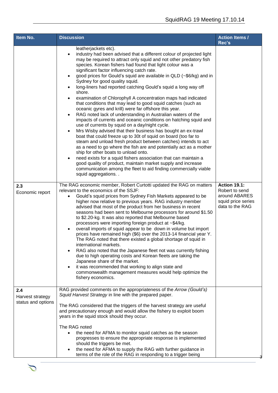| leatherjackets etc).<br>industry had been advised that a different colour of projected light<br>$\bullet$<br>may be required to attract only squid and not other predatory fish<br>species. Korean fishers had found that light colour was a<br>significant factor influencing catch rate.<br>good prices for Gould's squid are available in QLD (~\$6/kg) and in<br>$\bullet$<br>Sydney for good quality squid.<br>long-liners had reported catching Gould's squid a long way off<br>$\bullet$<br>shore.<br>examination of Chlorophyll A concentration maps had indicated<br>$\bullet$<br>that conditions that may lead to good squid catches (such as<br>oceanic gyres and krill) were far offshore this year.<br>RAG noted lack of understanding in Australian waters of the<br>$\bullet$                                                                                                                                                                                                                                                                                                |                                                                                                 |
|---------------------------------------------------------------------------------------------------------------------------------------------------------------------------------------------------------------------------------------------------------------------------------------------------------------------------------------------------------------------------------------------------------------------------------------------------------------------------------------------------------------------------------------------------------------------------------------------------------------------------------------------------------------------------------------------------------------------------------------------------------------------------------------------------------------------------------------------------------------------------------------------------------------------------------------------------------------------------------------------------------------------------------------------------------------------------------------------|-------------------------------------------------------------------------------------------------|
| impacts of currents and oceanic conditions on hatching squid and<br>use of currents by squid on a day/night cycle.<br>Mrs Wisby advised that their business has bought an ex-trawl<br>$\bullet$<br>boat that could freeze up to 30t of squid on board (too far to<br>steam and unload fresh product between catches) intends to act<br>as a need to go where the fish are and potentially act as a mother<br>ship for other boats to unload onto.<br>need exists for a squid fishers association that can maintain a<br>$\bullet$<br>good quality of product, maintain market supply and increase<br>communication among the fleet to aid finding commercially viable<br>squid aggregations                                                                                                                                                                                                                                                                                                                                                                                                 |                                                                                                 |
| The RAG economic member, Robert Curtotti updated the RAG on matters<br>relevant to the economics of the SSJF:<br>Gould's squid prices from Sydney Fish Markets appeared to be<br>$\bullet$<br>higher now relative to previous years. RAG industry member<br>advised that most of the product from her business in recent<br>seasons had been sent to Melbourne processors for around \$1.50<br>to \$2.20-kg. It was also reported that Melbourne based<br>processors were importing foreign product at ~\$4/kg.<br>overall imports of squid appear to be down in volume but import<br>$\bullet$<br>prices have remained high (\$6) over the 2013-14 financial year Y.<br>The RAG noted that there existed a global shortage of squid in<br>international markets.<br>RAG also noted that the Japanese fleet not was currently fishing<br>due to high operating costs and Korean fleets are taking the<br>Japanese share of the market.<br>it was recommended that working to align state and<br>$\bullet$<br>commonwealth management measures would help optimize the<br>fishery economics. | <b>Action 19.1:</b><br>Robert to send<br>around ABARES<br>squid price series<br>data to the RAG |
| RAG provided comments on the appropriateness of the Arrow (Gould's)<br>Squid Harvest Strategy in line with the prepared paper.<br>The RAG considered that the triggers of the harvest strategy are useful<br>and precautionary enough and would allow the fishery to exploit boom<br>years in the squid stock should they occur.<br>The RAG noted<br>the need for AFMA to monitor squid catches as the season<br>$\bullet$<br>progresses to ensure the appropriate response is implemented<br>should the triggers be met.<br>the need for AFMA to supply the RAG with further guidance in                                                                                                                                                                                                                                                                                                                                                                                                                                                                                                   |                                                                                                 |
|                                                                                                                                                                                                                                                                                                                                                                                                                                                                                                                                                                                                                                                                                                                                                                                                                                                                                                                                                                                                                                                                                             | terms of the role of the RAG in responding to a trigger being                                   |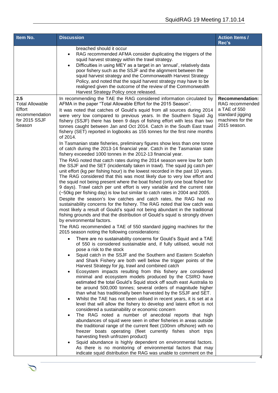| Item No.                                                                             | <b>Discussion</b>                                                                                                                                                                                                                                                                                                                                                                                                                                                                                                                                                                                                                                                                                                                                                                                                                                                                                                                                                                                                                                                                                                                                                                                                                                                                                                                                                                                                                                                                                                                                                                                                                                                                                                                                                                                                                                                                                                                                                                                                                                                                                                                                                                                                                                                                                                                                                                                                                                                                                                                                                                                                                                                                                                                                                                                                                                                                                                                                                                                                                                                                                                                                                                                                                                                                           | <b>Action Items /</b><br>Rec's                                                                                    |
|--------------------------------------------------------------------------------------|---------------------------------------------------------------------------------------------------------------------------------------------------------------------------------------------------------------------------------------------------------------------------------------------------------------------------------------------------------------------------------------------------------------------------------------------------------------------------------------------------------------------------------------------------------------------------------------------------------------------------------------------------------------------------------------------------------------------------------------------------------------------------------------------------------------------------------------------------------------------------------------------------------------------------------------------------------------------------------------------------------------------------------------------------------------------------------------------------------------------------------------------------------------------------------------------------------------------------------------------------------------------------------------------------------------------------------------------------------------------------------------------------------------------------------------------------------------------------------------------------------------------------------------------------------------------------------------------------------------------------------------------------------------------------------------------------------------------------------------------------------------------------------------------------------------------------------------------------------------------------------------------------------------------------------------------------------------------------------------------------------------------------------------------------------------------------------------------------------------------------------------------------------------------------------------------------------------------------------------------------------------------------------------------------------------------------------------------------------------------------------------------------------------------------------------------------------------------------------------------------------------------------------------------------------------------------------------------------------------------------------------------------------------------------------------------------------------------------------------------------------------------------------------------------------------------------------------------------------------------------------------------------------------------------------------------------------------------------------------------------------------------------------------------------------------------------------------------------------------------------------------------------------------------------------------------------------------------------------------------------------------------------------------------|-------------------------------------------------------------------------------------------------------------------|
|                                                                                      | breached should it occur<br>RAG recommended AFMA consider duplicating the triggers of the<br>$\bullet$<br>squid harvest strategy within the trawl strategy.<br>Difficulties in using MEY as a target in an 'annual', relatively data<br>$\bullet$<br>poor fishery such as the SSJF and the alignment between the<br>squid harvest strategy and the Commonwealth Harvest Strategy<br>Policy, and noted that the squid harvest strategy may have to be<br>realigned given the outcome of the review of the Commonwealth<br>Harvest Strategy Policy once released.                                                                                                                                                                                                                                                                                                                                                                                                                                                                                                                                                                                                                                                                                                                                                                                                                                                                                                                                                                                                                                                                                                                                                                                                                                                                                                                                                                                                                                                                                                                                                                                                                                                                                                                                                                                                                                                                                                                                                                                                                                                                                                                                                                                                                                                                                                                                                                                                                                                                                                                                                                                                                                                                                                                             |                                                                                                                   |
| 2.5<br><b>Total Allowable</b><br>Effort<br>recommendation<br>for 2015 SSJF<br>Season | In recommending the TAE the RAG considered information circulated by<br>AFMA in the paper "Total Allowable Effort for the 2015 Season".<br>It was noted that catches of Gould's squid from all sources during 2014<br>were very low compared to previous years. In the Southern Squid Jig<br>fishery (SSJF) there has been 9 days of fishing effort with less than two<br>tonnes caught between Jan and Oct 2014. Catch in the South East trawl<br>fishery (SET) reported in logbooks as 155 tonnes for the first nine months<br>of 2014.<br>In Tasmanian state fisheries, preliminary figures show less than one tonne<br>of catch during the 2013-14 financial year. Catch in the Tasmanian state<br>fishery exceeded 1000 tonnes in the 2012-13 financial year.<br>The RAG noted that catch rates during the 2014 season were low for both<br>the SSJF and the SET (incidentally taken in trawl). The squid jig catch per<br>unit effort (kg per fishing hour) is the lowest recorded in the past 10 years.<br>The RAG considered that this was most likely due to very low effort and<br>the squid not being present where the boat fished (only one boat fished for<br>9 days). Trawl catch per unit effort is very variable and the current rate<br>(~50kg per fishing day) is low but similar to catch rates in 2004 and 2005.<br>Despite the season's low catches and catch rates, the RAG had no<br>sustainability concerns for the fishery. The RAG noted that low catch was<br>most likely a result of Gould's squid not being abundant in the traditional<br>fishing grounds and that the distribution of Gould's squid is strongly driven<br>by environmental factors.<br>The RAG recommended a TAE of 550 standard jigging machines for the<br>2015 season noting the following considerations:<br>There are no sustainability concerns for Gould's Squid and a TAE<br>٠<br>of 550 is considered sustainable and, if fully utilised, would not<br>pose a risk to the stock<br>Squid catch in the SSJF and the Southern and Eastern Scalefish<br>$\bullet$<br>and Shark Fishery are both well below the trigger points of the<br>Harvest Strategy for jig, trawl and combined catch<br>Ecosystem impacts resulting from this fishery are considered<br>٠<br>minimal and ecosystem models produced by the CSIRO have<br>estimated the total Gould's Squid stock off south east Australia to<br>be around 500,000 tonnes; several orders of magnitude higher<br>than what has traditionally been harvested by the SSJF and SET.<br>Whilst the TAE has not been utilised in recent years, it is set at a<br>٠<br>level that will allow the fishery to develop and latent effort is not<br>considered a sustainability or economic concern<br>The RAG noted a number of anecdotal reports that high<br>$\bullet$<br>abundances of squid were seen in other fisheries in areas outside<br>the traditional range of the current fleet (100nm offshore) with no<br>freezer boats operating (fleet currently fishes short trips<br>harvesting fresh unfrozen product)<br>Squid abundance is highly dependent on environmental factors.<br>$\bullet$<br>As there is no monitoring of environmental factors that may<br>indicate squid distribution the RAG was unable to comment on the | <b>Recommendation:</b><br>RAG recommended<br>a TAE of 550<br>standard jigging<br>machines for the<br>2015 season. |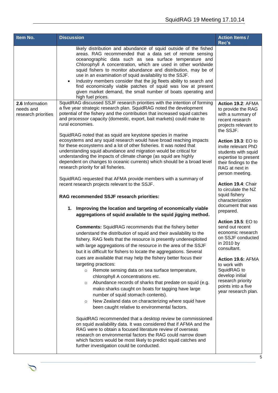| Item No.                                            | <b>Discussion</b>                                                                                                                                                                                                                                                                                                                                                                                                                                                                                                                                                                                                                                                                                                                                                                                                                                                                                                                                                                                                                                                                                                                                                                                                                                                                                                                                                                                                                                                                                                                                                                                                                                                                                                                                                                                                                                                                                                                                                                                                                                                                                                                                                                                                                                                                                                                 | <b>Action Items /</b><br>Rec's                                                                                                                                                                                                                                                                                                                                                                                                                                                                                                                                                                                                                              |
|-----------------------------------------------------|-----------------------------------------------------------------------------------------------------------------------------------------------------------------------------------------------------------------------------------------------------------------------------------------------------------------------------------------------------------------------------------------------------------------------------------------------------------------------------------------------------------------------------------------------------------------------------------------------------------------------------------------------------------------------------------------------------------------------------------------------------------------------------------------------------------------------------------------------------------------------------------------------------------------------------------------------------------------------------------------------------------------------------------------------------------------------------------------------------------------------------------------------------------------------------------------------------------------------------------------------------------------------------------------------------------------------------------------------------------------------------------------------------------------------------------------------------------------------------------------------------------------------------------------------------------------------------------------------------------------------------------------------------------------------------------------------------------------------------------------------------------------------------------------------------------------------------------------------------------------------------------------------------------------------------------------------------------------------------------------------------------------------------------------------------------------------------------------------------------------------------------------------------------------------------------------------------------------------------------------------------------------------------------------------------------------------------------|-------------------------------------------------------------------------------------------------------------------------------------------------------------------------------------------------------------------------------------------------------------------------------------------------------------------------------------------------------------------------------------------------------------------------------------------------------------------------------------------------------------------------------------------------------------------------------------------------------------------------------------------------------------|
|                                                     | likely distribution and abundance of squid outside of the fished<br>areas. RAG recommended that a data set of remote sensing<br>oceanographic data such as sea surface temperature and<br>Chlorophyll A concentration, which are used in other worldwide<br>squid fishers to monitor abundance and distribution, may be of<br>use in an examination of squid availability to the SSJF.<br>Industry members consider that the jig fleets ability to search and<br>find economically viable patches of squid was low at present<br>given market demand, the small number of boats operating and<br>high fuel prices.                                                                                                                                                                                                                                                                                                                                                                                                                                                                                                                                                                                                                                                                                                                                                                                                                                                                                                                                                                                                                                                                                                                                                                                                                                                                                                                                                                                                                                                                                                                                                                                                                                                                                                                |                                                                                                                                                                                                                                                                                                                                                                                                                                                                                                                                                                                                                                                             |
| 2.6 Information<br>needs and<br>research priorities | SquidRAG discussed SSJF research priorities with the intention of forming<br>a five year strategic research plan. SquidRAG noted the development<br>potential of the fishery and the contribution that increased squid catches<br>and processor capacity (domestic, export, bait markets) could make to<br>rural economies.<br>SquidRAG noted that as squid are keystone species in marine<br>ecosystems and any squid research would have broad reaching impacts<br>for these ecosystems and a lot of other fisheries. It was noted that<br>understanding squid abundance and migration would be critical for<br>understanding the impacts of climate change (as squid are highly<br>dependent on changes to oceanic currents) which should be a broad level<br>research priority for all fisheries.<br>SquidRAG requested that AFMA provide members with a summary of<br>recent research projects relevant to the SSJF.<br>RAG recommended SSJF research priorities:<br>1. Improving the location and targeting of economically viable<br>aggregations of squid available to the squid jigging method.<br><b>Comments:</b> SquidRAG recommends that the fishery better<br>understand the distribution of squid and their availability to the<br>fishery. RAG feels that the resource is presently underexploited<br>with large aggregations of the resource in the area of the SSJF<br>but it is difficult for fishers to locate the aggregations. Several<br>cues are available that may help the fishery better focus their<br>targeting practices:<br>Remote sensing data on sea surface temperature,<br>$\circ$<br>chlorophyll A concentrations etc.<br>Abundance records of sharks that predate on squid (e.g.<br>$\circ$<br>mako sharks caught on boats for tagging have large<br>number of squid stomach contents).<br>New Zealand data on characterizing where squid have<br>$\circ$<br>been caught relative to environmental factors.<br>SquidRAG recommended that a desktop review be commissioned<br>on squid availability data. It was considered that if AFMA and the<br>RAG were to obtain a focused literature review of overseas<br>research on environmental factors the RAG could narrow down<br>which factors would be most likely to predict squid catches and<br>further investigation could be conducted. | Action 19.2: AFMA<br>to provide the RAG<br>with a summary of<br>recent research<br>projects relevant to<br>the SSJF.<br>Action 19.3: EO to<br>invite relevant PhD<br>students with squid<br>expertise to present<br>their findings to the<br>RAG at next in<br>person meeting.<br>Action 19.4: Chair<br>to circulate the NZ<br>squid fishery<br>characterization<br>document that was<br>prepared.<br>Action 19.5: EO to<br>send out recent<br>economic research<br>on SSJF conducted<br>in 2010 by<br>consultant.<br>Action 19.6: AFMA<br>to work with<br>SquidRAG to<br>develop initial<br>research priority<br>points into a five<br>year research plan. |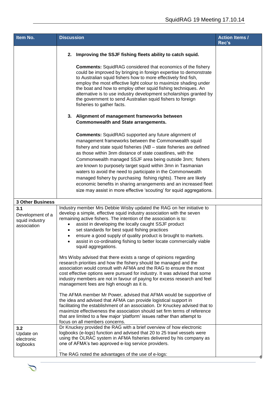| Item No.                                                 | <b>Discussion</b>                                                                                                                                                                                                                                                                                                                                                                                                                                                                                                                                                                                                                                                                                                                                                                                                                                                                                                                                                                                                                                                                                                                                                                                                                                                                                                      | <b>Action Items /</b><br>Rec's |
|----------------------------------------------------------|------------------------------------------------------------------------------------------------------------------------------------------------------------------------------------------------------------------------------------------------------------------------------------------------------------------------------------------------------------------------------------------------------------------------------------------------------------------------------------------------------------------------------------------------------------------------------------------------------------------------------------------------------------------------------------------------------------------------------------------------------------------------------------------------------------------------------------------------------------------------------------------------------------------------------------------------------------------------------------------------------------------------------------------------------------------------------------------------------------------------------------------------------------------------------------------------------------------------------------------------------------------------------------------------------------------------|--------------------------------|
|                                                          | Improving the SSJF fishing fleets ability to catch squid.<br>2.                                                                                                                                                                                                                                                                                                                                                                                                                                                                                                                                                                                                                                                                                                                                                                                                                                                                                                                                                                                                                                                                                                                                                                                                                                                        |                                |
|                                                          | <b>Comments:</b> SquidRAG considered that economics of the fishery<br>could be improved by bringing in foreign expertise to demonstrate<br>to Australian squid fishers how to more effectively find fish,<br>employ the most effective light colour to maximize shading under<br>the boat and how to employ other squid fishing techniques. An<br>alternative is to use industry development scholarships granted by<br>the government to send Australian squid fishers to foreign<br>fisheries to gather facts.                                                                                                                                                                                                                                                                                                                                                                                                                                                                                                                                                                                                                                                                                                                                                                                                       |                                |
|                                                          | 3. Alignment of management frameworks between<br><b>Commonwealth and State arrangements.</b>                                                                                                                                                                                                                                                                                                                                                                                                                                                                                                                                                                                                                                                                                                                                                                                                                                                                                                                                                                                                                                                                                                                                                                                                                           |                                |
|                                                          | <b>Comments:</b> SquidRAG supported any future alignment of<br>management frameworks between the Commonwealth squid<br>fishery and state squid fisheries (NB - state fisheries are defined<br>as those within 3nm distance of state coastlines, with the<br>Commonwealth managed SSJF area being outside 3nm; fishers<br>are known to purposely target squid within 3mn in Tasmanian<br>waters to avoid the need to participate in the Commonwealth<br>managed fishery by purchasing fishing rights). There are likely<br>economic benefits in sharing arrangements and an increased fleet<br>size may assist in more effective 'scouting' for squid aggregations.                                                                                                                                                                                                                                                                                                                                                                                                                                                                                                                                                                                                                                                     |                                |
| <b>3 Other Business</b>                                  |                                                                                                                                                                                                                                                                                                                                                                                                                                                                                                                                                                                                                                                                                                                                                                                                                                                                                                                                                                                                                                                                                                                                                                                                                                                                                                                        |                                |
| 3.1<br>Development of a<br>squid industry<br>association | Industry member Mrs Debbie Wisby updated the RAG on her initiative to<br>develop a simple, effective squid industry association with the seven<br>remaining active fishers. The intention of the association is to:<br>assist in developing the locally caught SSJF product<br>$\bullet$<br>set standards for best squid fishing practices<br>ensure a good supply of quality product is brought to markets.<br>assist in co-ordinating fishing to better locate commercially viable<br>squid aggregations.<br>Mrs Wisby advised that there exists a range of opinions regarding<br>research priorities and how the fishery should be managed and the<br>association would consult with AFMA and the RAG to ensure the most<br>cost effective options were pursued for industry. It was advised that some<br>industry members are not in favour of paying for excess research and feel<br>management fees are high enough as it is.<br>The AFMA member Mr Power, advised that AFMA would be supportive of<br>the idea and advised that AFMA can provide logistical support in<br>facilitating the establishment of an association. Dr Knuckey advised that to<br>maximize effectiveness the association should set firm terms of reference<br>that are limited to a few major 'platform' issues rather than attempt to |                                |
| 3.2                                                      | focus on all members concerns.<br>Dr Knuckey provided the RAG with a brief overview of how electronic                                                                                                                                                                                                                                                                                                                                                                                                                                                                                                                                                                                                                                                                                                                                                                                                                                                                                                                                                                                                                                                                                                                                                                                                                  |                                |
| Update on<br>electronic<br>logbooks                      | logbooks (e-logs) function and advised that 20 to 25 trawl vessels were<br>using the OLRAC system in AFMA fisheries delivered by his company as<br>one of AFMA's two approved e-log service providers.                                                                                                                                                                                                                                                                                                                                                                                                                                                                                                                                                                                                                                                                                                                                                                                                                                                                                                                                                                                                                                                                                                                 |                                |
|                                                          | The RAG noted the advantages of the use of e-logs:                                                                                                                                                                                                                                                                                                                                                                                                                                                                                                                                                                                                                                                                                                                                                                                                                                                                                                                                                                                                                                                                                                                                                                                                                                                                     |                                |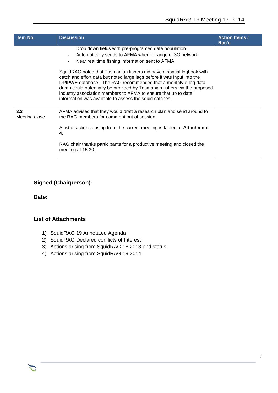| Item No.             | <b>Discussion</b>                                                                                                                                                                                                                                                                                                                                                                                                                                                                                                                                                                               | <b>Action Items /</b><br>Rec's |
|----------------------|-------------------------------------------------------------------------------------------------------------------------------------------------------------------------------------------------------------------------------------------------------------------------------------------------------------------------------------------------------------------------------------------------------------------------------------------------------------------------------------------------------------------------------------------------------------------------------------------------|--------------------------------|
|                      | Drop down fields with pre-programed data population<br>Automatically sends to AFMA when in range of 3G network<br>Near real time fishing information sent to AFMA<br>SquidRAG noted that Tasmanian fishers did have a spatial logbook with<br>catch and effort data but noted large lags before it was input into the<br>DPIPWE database. The RAG recommended that a monthly e-log data<br>dump could potentially be provided by Tasmanian fishers via the proposed<br>industry association members to AFMA to ensure that up to date<br>information was available to assess the squid catches. |                                |
| 3.3<br>Meeting close | AFMA advised that they would draft a research plan and send around to<br>the RAG members for comment out of session.<br>A list of actions arising from the current meeting is tabled at <b>Attachment</b><br>4.<br>RAG chair thanks participants for a productive meeting and closed the<br>meeting at 15:30.                                                                                                                                                                                                                                                                                   |                                |

## **Signed (Chairperson):**

**Date:**

#### **List of Attachments**

- 1) SquidRAG 19 Annotated Agenda
- 2) SquidRAG Declared conflicts of Interest
- 3) Actions arising from SquidRAG 18 2013 and status
- 4) Actions arising from SquidRAG 19 2014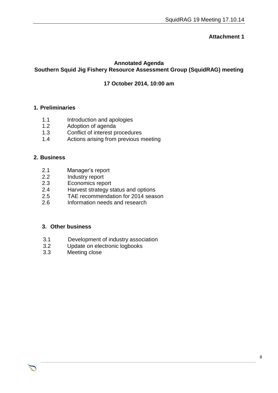## **Annotated Agenda Southern Squid Jig Fishery Resource Assessment Group (SquidRAG) meeting**

### **17 October 2014, 10:00 am**

Chair Rob Lewis c/- Executive Officer Tony Kingston, 155 Faulkland Rd, Gloucester NSW 2422

#### **1. Preliminaries**

- 1.1 Introduction and apologies
- 1.2 Adoption of agenda
- 1.3 Conflict of interest procedures
- 1.4 Actions arising from previous meeting

#### **2. Business**

- 2.1 Manager's report
- 2.2 Industry report
- 2.3 Economics report
- 2.4 Harvest strategy status and options
- 2.5 TAE recommendation for 2014 season<br>2.6 Information needs and research
- 2.6 Information needs and research

#### **3. Other business**

- 3.1 Development of industry association<br>3.2 Update on electronic logbooks
- Update on electronic logbooks
- 3.3 Meeting close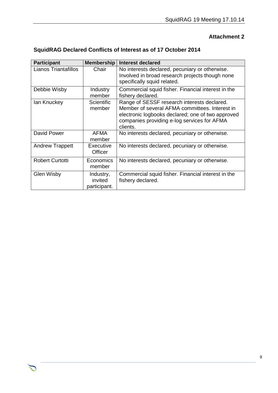| <b>SquidRAG Declared Conflicts of Interest as of 17 October 2014</b> |  |  |
|----------------------------------------------------------------------|--|--|
|----------------------------------------------------------------------|--|--|

| <b>Participant</b>          | <b>Membership</b>                    | Interest declared                                                                                                                                                                                             |
|-----------------------------|--------------------------------------|---------------------------------------------------------------------------------------------------------------------------------------------------------------------------------------------------------------|
| <b>Lianos Triantafillos</b> | Chair                                | No interests declared, pecuniary or otherwise.<br>Involved in broad research projects though none<br>specifically squid related.                                                                              |
| Debbie Wisby                | Industry<br>member                   | Commercial squid fisher. Financial interest in the<br>fishery declared.                                                                                                                                       |
| lan Knuckey                 | <b>Scientific</b><br>member          | Range of SESSF research interests declared.<br>Member of several AFMA committees. Interest in<br>electronic logbooks declared; one of two approved<br>companies providing e-log services for AFMA<br>clients. |
| David Power                 | AFMA<br>member                       | No interests declared, pecuniary or otherwise.                                                                                                                                                                |
| <b>Andrew Trappett</b>      | Executive<br>Officer                 | No interests declared, pecuniary or otherwise.                                                                                                                                                                |
| <b>Robert Curtotti</b>      | Economics<br>member                  | No interests declared, pecuniary or otherwise.                                                                                                                                                                |
| <b>Glen Wisby</b>           | Industry,<br>invited<br>participant. | Commercial squid fisher. Financial interest in the<br>fishery declared.                                                                                                                                       |

Chair Rob Lewis c/- Executive Officer Tony Kingston, 155 Faulkland Rd, Gloucester NSW 2422

つ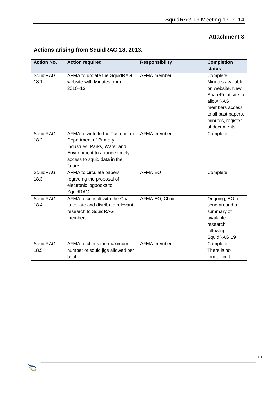| <b>Action No.</b> | <b>Action required</b>                                                                                                                                             | <b>Responsibility</b> | <b>Completion</b><br>status                                                                                                                                        |
|-------------------|--------------------------------------------------------------------------------------------------------------------------------------------------------------------|-----------------------|--------------------------------------------------------------------------------------------------------------------------------------------------------------------|
| SquidRAG<br>18.1  | AFMA to update the SquidRAG<br>website with Minutes from<br>$2010 - 13$ .                                                                                          | AFMA member           | Complete.<br>Minutes available<br>on website. New<br>SharePoint site to<br>allow RAG<br>members access<br>to all past papers,<br>minutes, register<br>of documents |
| SquidRAG<br>18.2  | AFMA to write to the Tasmanian<br>Department of Primary<br>Industries, Parks, Water and<br>Environment to arrange timely<br>access to squid data in the<br>future. | AFMA member           | Complete                                                                                                                                                           |
| SquidRAG<br>18.3  | AFMA to circulate papers<br>regarding the proposal of<br>electronic logbooks to<br>SquidRAG.                                                                       | <b>AFMA EO</b>        | Complete                                                                                                                                                           |
| SquidRAG<br>18.4  | AFMA to consult with the Chair<br>to collate and distribute relevant<br>research to SquidRAG<br>members.                                                           | AFMA EO, Chair        | Ongoing, EO to<br>send around a<br>summary of<br>available<br>research<br>following<br>SquidRAG 19                                                                 |
| SquidRAG<br>18.5  | AFMA to check the maximum<br>number of squid jigs allowed per<br>boat.                                                                                             | <b>AFMA</b> member    | Complete -<br>There is no<br>formal limit                                                                                                                          |

Chair Rob Lewis c/- Executive Officer Tony Kingston, 155 Faulkland Rd, Gloucester NSW 2422

つ

# **Actions arising from SquidRAG 18, 2013.**